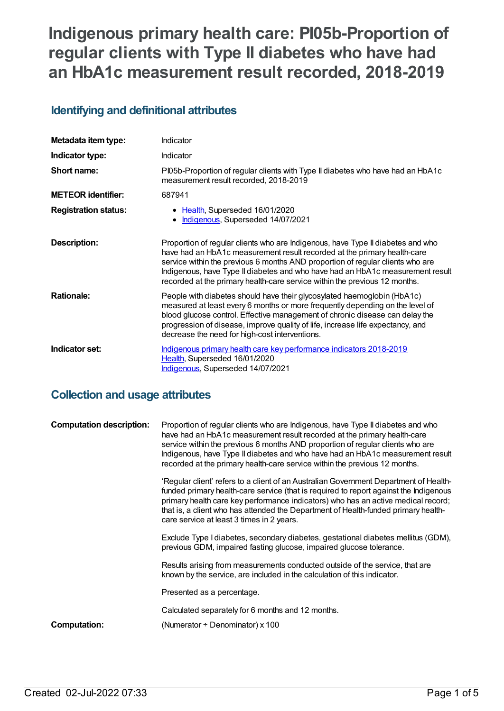# **Indigenous primary health care: PI05b-Proportion of regular clients with Type II diabetes who have had an HbA1c measurement result recorded, 2018-2019**

# **Identifying and definitional attributes**

| Metadata item type:         | Indicator                                                                                                                                                                                                                                                                                                                                                                                                     |
|-----------------------------|---------------------------------------------------------------------------------------------------------------------------------------------------------------------------------------------------------------------------------------------------------------------------------------------------------------------------------------------------------------------------------------------------------------|
| Indicator type:             | <b>Indicator</b>                                                                                                                                                                                                                                                                                                                                                                                              |
| Short name:                 | PI05b-Proportion of regular clients with Type II diabetes who have had an HbA1c<br>measurement result recorded, 2018-2019                                                                                                                                                                                                                                                                                     |
| <b>METEOR identifier:</b>   | 687941                                                                                                                                                                                                                                                                                                                                                                                                        |
| <b>Registration status:</b> | • Health, Superseded 16/01/2020<br>Indigenous, Superseded 14/07/2021                                                                                                                                                                                                                                                                                                                                          |
| <b>Description:</b>         | Proportion of regular clients who are Indigenous, have Type II diabetes and who<br>have had an HbA1c measurement result recorded at the primary health-care<br>service within the previous 6 months AND proportion of regular clients who are<br>Indigenous, have Type II diabetes and who have had an HbA1c measurement result<br>recorded at the primary health-care service within the previous 12 months. |
| <b>Rationale:</b>           | People with diabetes should have their glycosylated haemoglobin (HbA1c)<br>measured at least every 6 months or more frequently depending on the level of<br>blood glucose control. Effective management of chronic disease can delay the<br>progression of disease, improve quality of life, increase life expectancy, and<br>decrease the need for high-cost interventions.                                  |
| Indicator set:              | Indigenous primary health care key performance indicators 2018-2019<br>Health, Superseded 16/01/2020<br>Indigenous, Superseded 14/07/2021                                                                                                                                                                                                                                                                     |

# **Collection and usage attributes**

| <b>Computation description:</b> | Proportion of regular clients who are Indigenous, have Type II diabetes and who<br>have had an HbA1c measurement result recorded at the primary health-care<br>service within the previous 6 months AND proportion of regular clients who are<br>Indigenous, have Type II diabetes and who have had an HbA1c measurement result<br>recorded at the primary health-care service within the previous 12 months. |
|---------------------------------|---------------------------------------------------------------------------------------------------------------------------------------------------------------------------------------------------------------------------------------------------------------------------------------------------------------------------------------------------------------------------------------------------------------|
|                                 | 'Regular client' refers to a client of an Australian Government Department of Health-<br>funded primary health-care service (that is required to report against the Indigenous<br>primary health care key performance indicators) who has an active medical record;<br>that is, a client who has attended the Department of Health-funded primary health-<br>care service at least 3 times in 2 years.        |
|                                 | Exclude Type I diabetes, secondary diabetes, gestational diabetes mellitus (GDM),<br>previous GDM, impaired fasting glucose, impaired glucose tolerance.                                                                                                                                                                                                                                                      |
|                                 | Results arising from measurements conducted outside of the service, that are<br>known by the service, are included in the calculation of this indicator.                                                                                                                                                                                                                                                      |
|                                 | Presented as a percentage.                                                                                                                                                                                                                                                                                                                                                                                    |
|                                 | Calculated separately for 6 months and 12 months.                                                                                                                                                                                                                                                                                                                                                             |
| Computation:                    | (Numerator $\div$ Denominator) x 100                                                                                                                                                                                                                                                                                                                                                                          |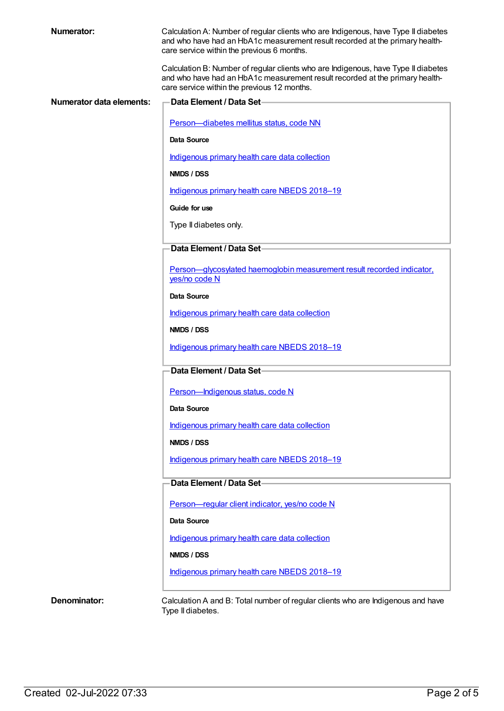| Numerator:                      | Calculation A: Number of regular clients who are Indigenous, have Type II diabetes<br>and who have had an HbA1c measurement result recorded at the primary health-<br>care service within the previous 6 months.  |
|---------------------------------|-------------------------------------------------------------------------------------------------------------------------------------------------------------------------------------------------------------------|
|                                 | Calculation B: Number of regular clients who are Indigenous, have Type II diabetes<br>and who have had an HbA1c measurement result recorded at the primary health-<br>care service within the previous 12 months. |
| <b>Numerator data elements:</b> | <b>Data Element / Data Set-</b>                                                                                                                                                                                   |
|                                 | Person-diabetes mellitus status, code NN                                                                                                                                                                          |
|                                 | Data Source                                                                                                                                                                                                       |
|                                 | Indigenous primary health care data collection                                                                                                                                                                    |
|                                 | NMDS / DSS                                                                                                                                                                                                        |
|                                 | Indigenous primary health care NBEDS 2018-19                                                                                                                                                                      |
|                                 | Guide for use                                                                                                                                                                                                     |
|                                 | Type II diabetes only.                                                                                                                                                                                            |
|                                 | Data Element / Data Set-                                                                                                                                                                                          |
|                                 | Person-glycosylated haemoglobin measurement result recorded indicator.<br>yes/no code N                                                                                                                           |
|                                 | Data Source                                                                                                                                                                                                       |
|                                 | Indigenous primary health care data collection                                                                                                                                                                    |
|                                 | NMDS / DSS                                                                                                                                                                                                        |
|                                 | Indigenous primary health care NBEDS 2018-19                                                                                                                                                                      |
|                                 | Data Element / Data Set-                                                                                                                                                                                          |
|                                 | Person-Indigenous status, code N                                                                                                                                                                                  |
|                                 | Data Source                                                                                                                                                                                                       |
|                                 | Indigenous primary health care data collection                                                                                                                                                                    |
|                                 | NMDS / DSS                                                                                                                                                                                                        |
|                                 | Indigenous primary health care NBEDS 2018-19                                                                                                                                                                      |
|                                 | Data Element / Data Set-                                                                                                                                                                                          |
|                                 | Person-regular client indicator, yes/no code N                                                                                                                                                                    |
|                                 | Data Source                                                                                                                                                                                                       |
|                                 | Indigenous primary health care data collection                                                                                                                                                                    |
|                                 | NMDS / DSS                                                                                                                                                                                                        |
|                                 | Indigenous primary health care NBEDS 2018-19                                                                                                                                                                      |
|                                 |                                                                                                                                                                                                                   |

**Denominator:** Calculation A and B: Total number of regular clients who are Indigenous and have Type II diabetes.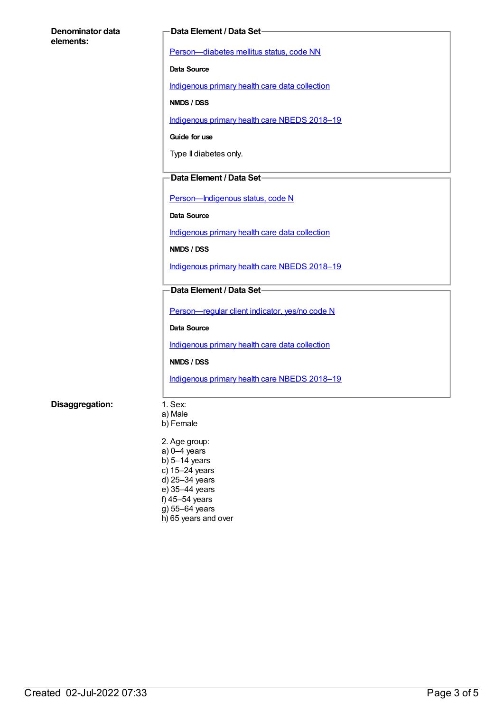| Denominator data<br>elements: | <b>Data Element / Data Set-</b>                |  |
|-------------------------------|------------------------------------------------|--|
|                               | Person-diabetes mellitus status, code NN       |  |
|                               | Data Source                                    |  |
|                               | Indigenous primary health care data collection |  |
|                               | NMDS / DSS                                     |  |
|                               | Indigenous primary health care NBEDS 2018-19   |  |
|                               | Guide for use                                  |  |
|                               | Type II diabetes only.                         |  |
|                               | Data Element / Data Set-                       |  |
|                               | Person-Indigenous status, code N               |  |
|                               | Data Source                                    |  |
|                               | Indigenous primary health care data collection |  |
|                               | NMDS / DSS                                     |  |
|                               | Indigenous primary health care NBEDS 2018-19   |  |
|                               | Data Element / Data Set-                       |  |
|                               | Person-regular client indicator, yes/no code N |  |
|                               | Data Source                                    |  |
|                               | Indigenous primary health care data collection |  |
|                               | NMDS / DSS                                     |  |
|                               | Indigenous primary health care NBEDS 2018-19   |  |
| Disaggregation:               | 1. Sex:                                        |  |
|                               | a) Male<br>b) Female                           |  |
|                               | 2. Age group:                                  |  |
|                               | $a) 0-4$ years                                 |  |
|                               | b) $5-14$ years<br>c) 15-24 years              |  |
|                               | d) 25-34 years                                 |  |
|                               | e) 35-44 years<br>f) 45-54 years               |  |

- g) 55–64 years
- h) 65 years and over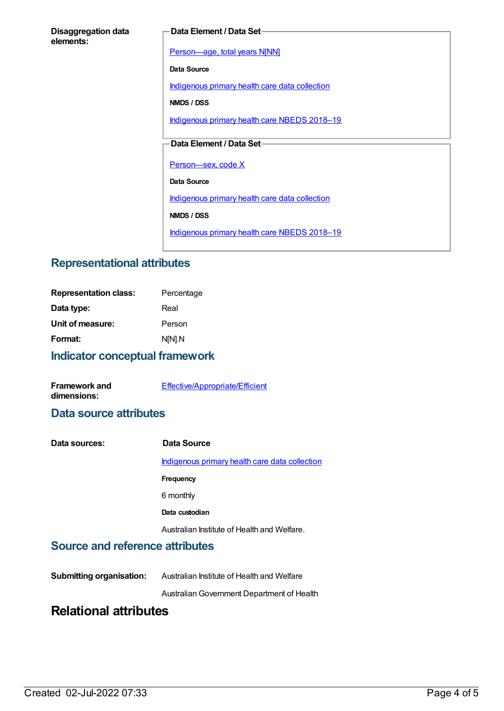#### **Disaggregation data elements:**

#### **Data Element / Data Set**

[Person—age,](https://meteor.aihw.gov.au/content/303794) total years N[NN]

**Data Source**

[Indigenous](https://meteor.aihw.gov.au/content/430643) primary health care data collection

**NMDS / DSS**

[Indigenous](https://meteor.aihw.gov.au/content/694101) primary health care NBEDS 2018-19

#### **Data Element / Data Set**

Person-sex, code X

**Data Source**

[Indigenous](https://meteor.aihw.gov.au/content/430643) primary health care data collection

**NMDS / DSS**

[Indigenous](https://meteor.aihw.gov.au/content/694101) primary health care NBEDS 2018-19

# **Representational attributes**

| <b>Representation class:</b> | Percentage |
|------------------------------|------------|
| Data type:                   | Real       |
| Unit of measure:             | Person     |
| Format:                      | N[N].N     |
|                              |            |

#### **Indicator conceptual framework**

| <b>Framework and</b> | Effective/Appropriate/Efficient |
|----------------------|---------------------------------|
| dimensions:          |                                 |

#### **Data source attributes**

| Data sources: | Data Source                                    |
|---------------|------------------------------------------------|
|               | Indigenous primary health care data collection |
|               | Frequency                                      |
|               | 6 monthly                                      |
|               | Data custodian                                 |
|               | Australian Institute of Health and Welfare.    |

### **Source and reference attributes**

AustralianGovernment Department of Health

# **Relational attributes**